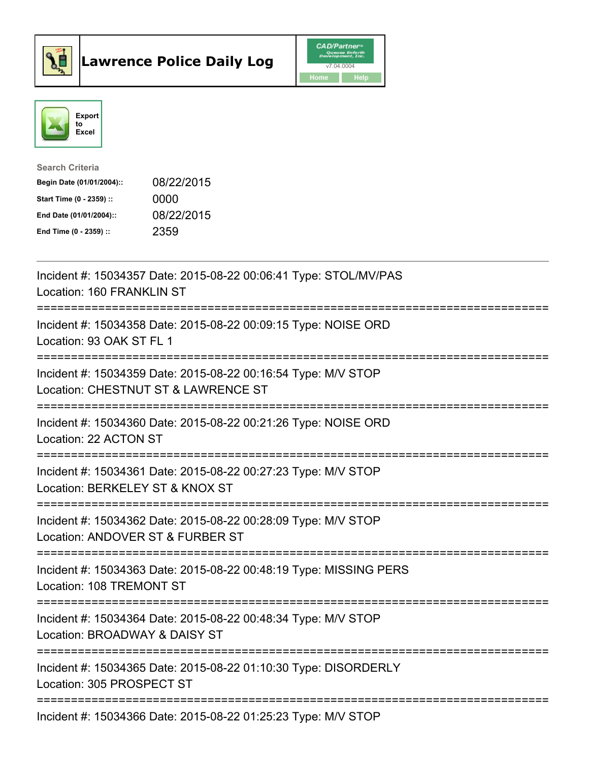



| <b>Search Criteria</b>    |            |
|---------------------------|------------|
| Begin Date (01/01/2004):: | 08/22/2015 |
| Start Time (0 - 2359) ::  | 0000       |
| End Date (01/01/2004)::   | 08/22/2015 |
| End Time (0 - 2359) ::    | 2359       |

| Incident #: 15034357 Date: 2015-08-22 00:06:41 Type: STOL/MV/PAS<br>Location: 160 FRANKLIN ST                                                    |
|--------------------------------------------------------------------------------------------------------------------------------------------------|
| Incident #: 15034358 Date: 2015-08-22 00:09:15 Type: NOISE ORD<br>Location: 93 OAK ST FL 1<br>---------------                                    |
| Incident #: 15034359 Date: 2015-08-22 00:16:54 Type: M/V STOP<br>Location: CHESTNUT ST & LAWRENCE ST                                             |
| Incident #: 15034360 Date: 2015-08-22 00:21:26 Type: NOISE ORD<br>Location: 22 ACTON ST<br>===================================                   |
| Incident #: 15034361 Date: 2015-08-22 00:27:23 Type: M/V STOP<br>Location: BERKELEY ST & KNOX ST<br>===============<br>========================= |
| Incident #: 15034362 Date: 2015-08-22 00:28:09 Type: M/V STOP<br>Location: ANDOVER ST & FURBER ST<br>------------<br>=========================   |
| Incident #: 15034363 Date: 2015-08-22 00:48:19 Type: MISSING PERS<br>Location: 108 TREMONT ST<br>======================                          |
| Incident #: 15034364 Date: 2015-08-22 00:48:34 Type: M/V STOP<br>Location: BROADWAY & DAISY ST                                                   |
| Incident #: 15034365 Date: 2015-08-22 01:10:30 Type: DISORDERLY<br>Location: 305 PROSPECT ST                                                     |
| Incident #: 15034366 Date: 2015-08-22 01:25:23 Type: M/V STOP                                                                                    |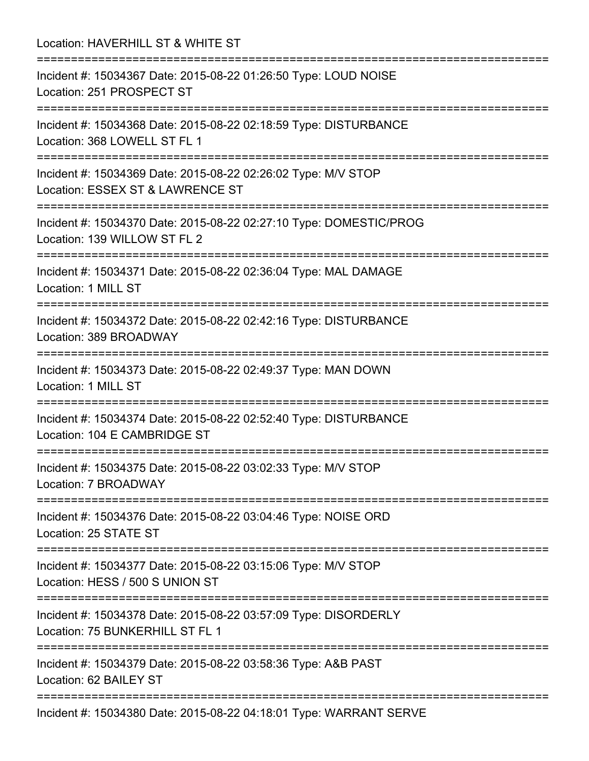Location: HAVERHILL ST & WHITE ST =========================================================================== Incident #: 15034367 Date: 2015-08-22 01:26:50 Type: LOUD NOISE Location: 251 PROSPECT ST =========================================================================== Incident #: 15034368 Date: 2015-08-22 02:18:59 Type: DISTURBANCE Location: 368 LOWELL ST FL 1 =========================================================================== Incident #: 15034369 Date: 2015-08-22 02:26:02 Type: M/V STOP Location: ESSEX ST & LAWRENCE ST =========================================================================== Incident #: 15034370 Date: 2015-08-22 02:27:10 Type: DOMESTIC/PROG Location: 139 WILLOW ST FL 2 =========================================================================== Incident #: 15034371 Date: 2015-08-22 02:36:04 Type: MAL DAMAGE Location: 1 MILL ST =========================================================================== Incident #: 15034372 Date: 2015-08-22 02:42:16 Type: DISTURBANCE Location: 389 BROADWAY =========================================================================== Incident #: 15034373 Date: 2015-08-22 02:49:37 Type: MAN DOWN Location: 1 MILL ST =========================================================================== Incident #: 15034374 Date: 2015-08-22 02:52:40 Type: DISTURBANCE Location: 104 E CAMBRIDGE ST =========================================================================== Incident #: 15034375 Date: 2015-08-22 03:02:33 Type: M/V STOP Location: 7 BROADWAY =========================================================================== Incident #: 15034376 Date: 2015-08-22 03:04:46 Type: NOISE ORD Location: 25 STATE ST =========================================================================== Incident #: 15034377 Date: 2015-08-22 03:15:06 Type: M/V STOP Location: HESS / 500 S UNION ST =========================================================================== Incident #: 15034378 Date: 2015-08-22 03:57:09 Type: DISORDERLY Location: 75 BUNKERHILL ST FL 1 =========================================================================== Incident #: 15034379 Date: 2015-08-22 03:58:36 Type: A&B PAST Location: 62 BAILEY ST =========================================================================== Incident #: 15034380 Date: 2015-08-22 04:18:01 Type: WARRANT SERVE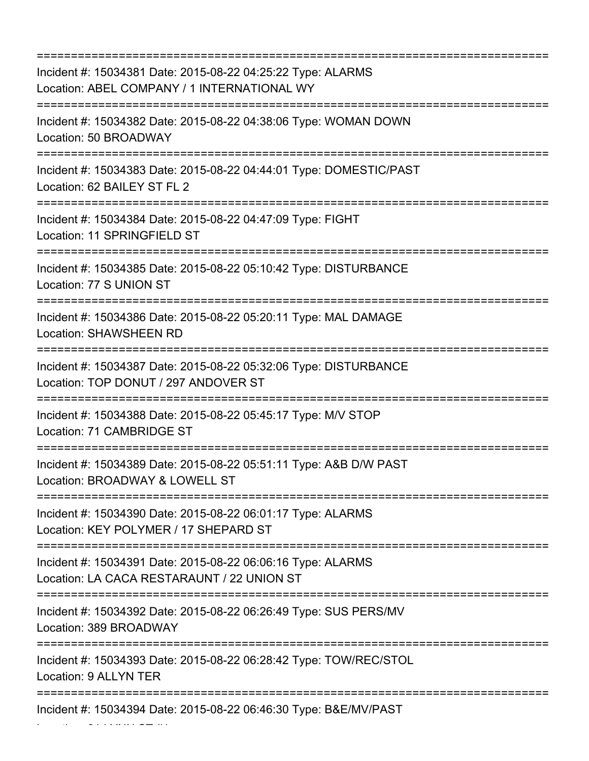| Incident #: 15034381 Date: 2015-08-22 04:25:22 Type: ALARMS<br>Location: ABEL COMPANY / 1 INTERNATIONAL WY<br>:================================== |
|---------------------------------------------------------------------------------------------------------------------------------------------------|
| Incident #: 15034382 Date: 2015-08-22 04:38:06 Type: WOMAN DOWN<br>Location: 50 BROADWAY<br>:======================                               |
| Incident #: 15034383 Date: 2015-08-22 04:44:01 Type: DOMESTIC/PAST<br>Location: 62 BAILEY ST FL 2                                                 |
| Incident #: 15034384 Date: 2015-08-22 04:47:09 Type: FIGHT<br>Location: 11 SPRINGFIELD ST                                                         |
| Incident #: 15034385 Date: 2015-08-22 05:10:42 Type: DISTURBANCE<br>Location: 77 S UNION ST                                                       |
| Incident #: 15034386 Date: 2015-08-22 05:20:11 Type: MAL DAMAGE<br><b>Location: SHAWSHEEN RD</b>                                                  |
| Incident #: 15034387 Date: 2015-08-22 05:32:06 Type: DISTURBANCE<br>Location: TOP DONUT / 297 ANDOVER ST                                          |
| Incident #: 15034388 Date: 2015-08-22 05:45:17 Type: M/V STOP<br>Location: 71 CAMBRIDGE ST                                                        |
| Incident #: 15034389 Date: 2015-08-22 05:51:11 Type: A&B D/W PAST<br>Location: BROADWAY & LOWELL ST                                               |
| Incident #: 15034390 Date: 2015-08-22 06:01:17 Type: ALARMS<br>Location: KEY POLYMER / 17 SHEPARD ST                                              |
| Incident #: 15034391 Date: 2015-08-22 06:06:16 Type: ALARMS<br>Location: LA CACA RESTARAUNT / 22 UNION ST                                         |
| Incident #: 15034392 Date: 2015-08-22 06:26:49 Type: SUS PERS/MV<br>Location: 389 BROADWAY                                                        |
| Incident #: 15034393 Date: 2015-08-22 06:28:42 Type: TOW/REC/STOL<br>Location: 9 ALLYN TER                                                        |
| Incident #: 15034394 Date: 2015-08-22 06:46:30 Type: B&E/MV/PAST                                                                                  |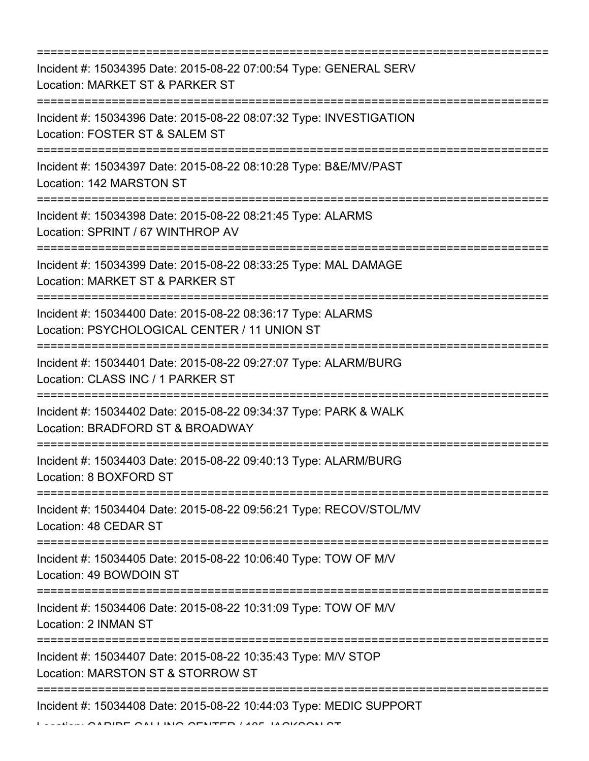=========================================================================== Incident #: 15034395 Date: 2015-08-22 07:00:54 Type: GENERAL SERV Location: MARKET ST & PARKER ST =========================================================================== Incident #: 15034396 Date: 2015-08-22 08:07:32 Type: INVESTIGATION Location: FOSTER ST & SALEM ST =========================================================================== Incident #: 15034397 Date: 2015-08-22 08:10:28 Type: B&E/MV/PAST Location: 142 MARSTON ST =========================================================================== Incident #: 15034398 Date: 2015-08-22 08:21:45 Type: ALARMS Location: SPRINT / 67 WINTHROP AV =========================================================================== Incident #: 15034399 Date: 2015-08-22 08:33:25 Type: MAL DAMAGE Location: MARKET ST & PARKER ST =========================================================================== Incident #: 15034400 Date: 2015-08-22 08:36:17 Type: ALARMS Location: PSYCHOLOGICAL CENTER / 11 UNION ST =========================================================================== Incident #: 15034401 Date: 2015-08-22 09:27:07 Type: ALARM/BURG Location: CLASS INC / 1 PARKER ST =========================================================================== Incident #: 15034402 Date: 2015-08-22 09:34:37 Type: PARK & WALK Location: BRADFORD ST & BROADWAY =========================================================================== Incident #: 15034403 Date: 2015-08-22 09:40:13 Type: ALARM/BURG Location: 8 BOXFORD ST =========================================================================== Incident #: 15034404 Date: 2015-08-22 09:56:21 Type: RECOV/STOL/MV Location: 48 CEDAR ST =========================================================================== Incident #: 15034405 Date: 2015-08-22 10:06:40 Type: TOW OF M/V Location: 49 BOWDOIN ST =========================================================================== Incident #: 15034406 Date: 2015-08-22 10:31:09 Type: TOW OF M/V Location: 2 INMAN ST =========================================================================== Incident #: 15034407 Date: 2015-08-22 10:35:43 Type: M/V STOP Location: MARSTON ST & STORROW ST =========================================================================== Incident #: 15034408 Date: 2015-08-22 10:44:03 Type: MEDIC SUPPORT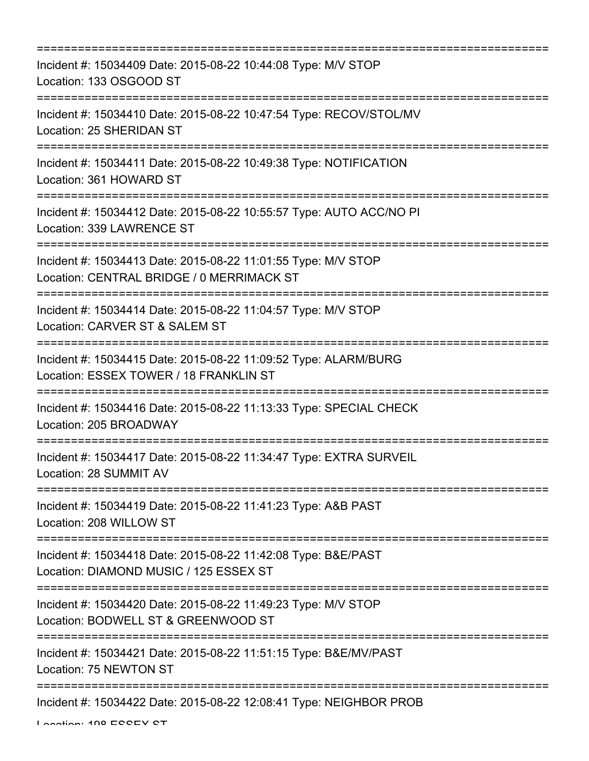| ==========================                                                                                                                  |
|---------------------------------------------------------------------------------------------------------------------------------------------|
| Incident #: 15034409 Date: 2015-08-22 10:44:08 Type: M/V STOP<br>Location: 133 OSGOOD ST                                                    |
| Incident #: 15034410 Date: 2015-08-22 10:47:54 Type: RECOV/STOL/MV<br>Location: 25 SHERIDAN ST                                              |
| Incident #: 15034411 Date: 2015-08-22 10:49:38 Type: NOTIFICATION<br>Location: 361 HOWARD ST                                                |
| Incident #: 15034412 Date: 2015-08-22 10:55:57 Type: AUTO ACC/NO PI<br>Location: 339 LAWRENCE ST                                            |
| Incident #: 15034413 Date: 2015-08-22 11:01:55 Type: M/V STOP<br>Location: CENTRAL BRIDGE / 0 MERRIMACK ST<br>============================= |
| Incident #: 15034414 Date: 2015-08-22 11:04:57 Type: M/V STOP<br>Location: CARVER ST & SALEM ST                                             |
| Incident #: 15034415 Date: 2015-08-22 11:09:52 Type: ALARM/BURG<br>Location: ESSEX TOWER / 18 FRANKLIN ST                                   |
| Incident #: 15034416 Date: 2015-08-22 11:13:33 Type: SPECIAL CHECK<br>Location: 205 BROADWAY                                                |
| Incident #: 15034417 Date: 2015-08-22 11:34:47 Type: EXTRA SURVEIL<br>Location: 28 SUMMIT AV                                                |
| Incident #: 15034419 Date: 2015-08-22 11:41:23 Type: A&B PAST<br>Location: 208 WILLOW ST                                                    |
| Incident #: 15034418 Date: 2015-08-22 11:42:08 Type: B&E/PAST<br>Location: DIAMOND MUSIC / 125 ESSEX ST                                     |
| Incident #: 15034420 Date: 2015-08-22 11:49:23 Type: M/V STOP<br>Location: BODWELL ST & GREENWOOD ST                                        |
| Incident #: 15034421 Date: 2015-08-22 11:51:15 Type: B&E/MV/PAST<br>Location: 75 NEWTON ST                                                  |
| Incident #: 15034422 Date: 2015-08-22 12:08:41 Type: NEIGHBOR PROB                                                                          |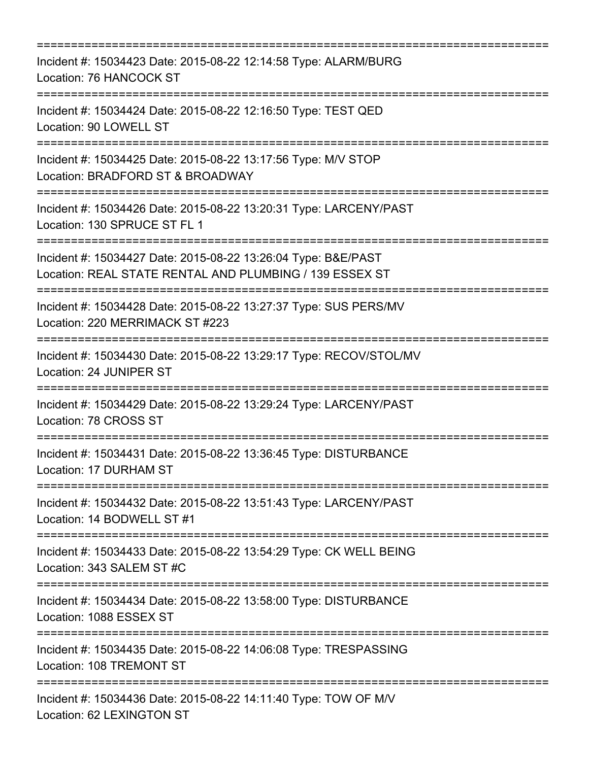| Incident #: 15034423 Date: 2015-08-22 12:14:58 Type: ALARM/BURG<br>Location: 76 HANCOCK ST                                                           |
|------------------------------------------------------------------------------------------------------------------------------------------------------|
| Incident #: 15034424 Date: 2015-08-22 12:16:50 Type: TEST QED<br>Location: 90 LOWELL ST                                                              |
| Incident #: 15034425 Date: 2015-08-22 13:17:56 Type: M/V STOP<br>Location: BRADFORD ST & BROADWAY                                                    |
| Incident #: 15034426 Date: 2015-08-22 13:20:31 Type: LARCENY/PAST<br>Location: 130 SPRUCE ST FL 1                                                    |
| Incident #: 15034427 Date: 2015-08-22 13:26:04 Type: B&E/PAST<br>Location: REAL STATE RENTAL AND PLUMBING / 139 ESSEX ST<br>:======================= |
| Incident #: 15034428 Date: 2015-08-22 13:27:37 Type: SUS PERS/MV<br>Location: 220 MERRIMACK ST #223<br>:===================                          |
| Incident #: 15034430 Date: 2015-08-22 13:29:17 Type: RECOV/STOL/MV<br>Location: 24 JUNIPER ST                                                        |
| Incident #: 15034429 Date: 2015-08-22 13:29:24 Type: LARCENY/PAST<br>Location: 78 CROSS ST                                                           |
| Incident #: 15034431 Date: 2015-08-22 13:36:45 Type: DISTURBANCE<br>Location: 17 DURHAM ST                                                           |
| Incident #: 15034432 Date: 2015-08-22 13:51:43 Type: LARCENY/PAST<br>Location: 14 BODWELL ST #1                                                      |
| Incident #: 15034433 Date: 2015-08-22 13:54:29 Type: CK WELL BEING<br>Location: 343 SALEM ST #C                                                      |
| Incident #: 15034434 Date: 2015-08-22 13:58:00 Type: DISTURBANCE<br>Location: 1088 ESSEX ST                                                          |
| Incident #: 15034435 Date: 2015-08-22 14:06:08 Type: TRESPASSING<br>Location: 108 TREMONT ST                                                         |
| Incident #: 15034436 Date: 2015-08-22 14:11:40 Type: TOW OF M/V<br>Location: 62 LEXINGTON ST                                                         |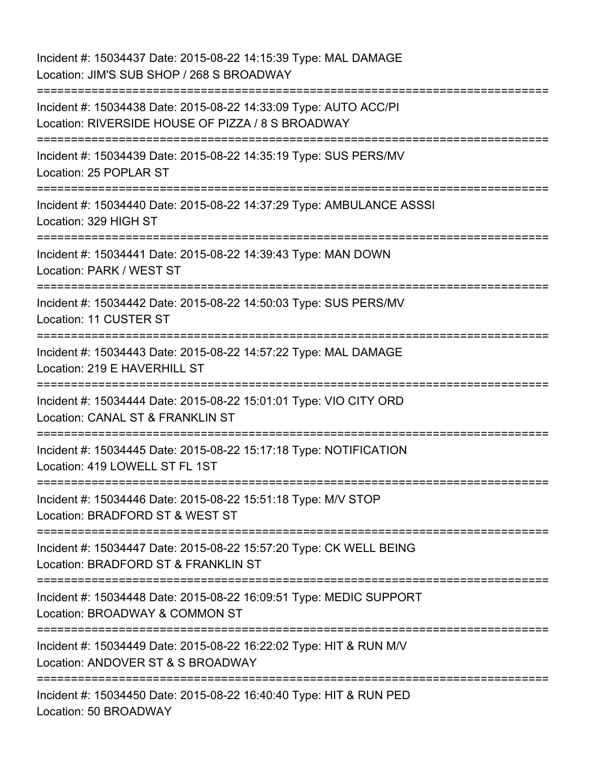Incident #: 15034437 Date: 2015-08-22 14:15:39 Type: MAL DAMAGE Location: JIM'S SUB SHOP / 268 S BROADWAY =========================================================================== Incident #: 15034438 Date: 2015-08-22 14:33:09 Type: AUTO ACC/PI Location: RIVERSIDE HOUSE OF PIZZA / 8 S BROADWAY =========================================================================== Incident #: 15034439 Date: 2015-08-22 14:35:19 Type: SUS PERS/MV Location: 25 POPLAR ST =========================================================================== Incident #: 15034440 Date: 2015-08-22 14:37:29 Type: AMBULANCE ASSSI Location: 329 HIGH ST =========================================================================== Incident #: 15034441 Date: 2015-08-22 14:39:43 Type: MAN DOWN Location: PARK / WEST ST =========================================================================== Incident #: 15034442 Date: 2015-08-22 14:50:03 Type: SUS PERS/MV Location: 11 CUSTER ST =========================================================================== Incident #: 15034443 Date: 2015-08-22 14:57:22 Type: MAL DAMAGE Location: 219 E HAVERHILL ST =========================================================================== Incident #: 15034444 Date: 2015-08-22 15:01:01 Type: VIO CITY ORD Location: CANAL ST & FRANKLIN ST =========================================================================== Incident #: 15034445 Date: 2015-08-22 15:17:18 Type: NOTIFICATION Location: 419 LOWELL ST FL 1ST =========================================================================== Incident #: 15034446 Date: 2015-08-22 15:51:18 Type: M/V STOP Location: BRADFORD ST & WEST ST =========================================================================== Incident #: 15034447 Date: 2015-08-22 15:57:20 Type: CK WELL BEING Location: BRADFORD ST & FRANKLIN ST =========================================================================== Incident #: 15034448 Date: 2015-08-22 16:09:51 Type: MEDIC SUPPORT Location: BROADWAY & COMMON ST =========================================================================== Incident #: 15034449 Date: 2015-08-22 16:22:02 Type: HIT & RUN M/V Location: ANDOVER ST & S BROADWAY =========================================================================== Incident #: 15034450 Date: 2015-08-22 16:40:40 Type: HIT & RUN PED Location: 50 BROADWAY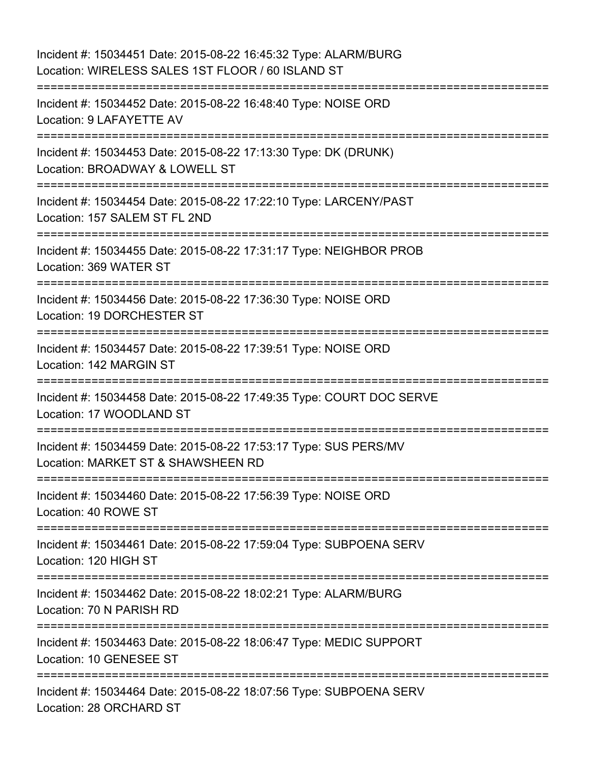| Incident #: 15034451 Date: 2015-08-22 16:45:32 Type: ALARM/BURG<br>Location: WIRELESS SALES 1ST FLOOR / 60 ISLAND ST                     |
|------------------------------------------------------------------------------------------------------------------------------------------|
| Incident #: 15034452 Date: 2015-08-22 16:48:40 Type: NOISE ORD<br>Location: 9 LAFAYETTE AV                                               |
| Incident #: 15034453 Date: 2015-08-22 17:13:30 Type: DK (DRUNK)<br>Location: BROADWAY & LOWELL ST<br>=================================== |
| Incident #: 15034454 Date: 2015-08-22 17:22:10 Type: LARCENY/PAST<br>Location: 157 SALEM ST FL 2ND                                       |
| Incident #: 15034455 Date: 2015-08-22 17:31:17 Type: NEIGHBOR PROB<br>Location: 369 WATER ST                                             |
| Incident #: 15034456 Date: 2015-08-22 17:36:30 Type: NOISE ORD<br>Location: 19 DORCHESTER ST                                             |
| Incident #: 15034457 Date: 2015-08-22 17:39:51 Type: NOISE ORD<br>Location: 142 MARGIN ST                                                |
| Incident #: 15034458 Date: 2015-08-22 17:49:35 Type: COURT DOC SERVE<br>Location: 17 WOODLAND ST                                         |
| Incident #: 15034459 Date: 2015-08-22 17:53:17 Type: SUS PERS/MV<br>Location: MARKET ST & SHAWSHEEN RD                                   |
| Incident #: 15034460 Date: 2015-08-22 17:56:39 Type: NOISE ORD<br>Location: 40 ROWE ST                                                   |
| Incident #: 15034461 Date: 2015-08-22 17:59:04 Type: SUBPOENA SERV<br>Location: 120 HIGH ST                                              |
| Incident #: 15034462 Date: 2015-08-22 18:02:21 Type: ALARM/BURG<br>Location: 70 N PARISH RD                                              |
| Incident #: 15034463 Date: 2015-08-22 18:06:47 Type: MEDIC SUPPORT<br>Location: 10 GENESEE ST                                            |
| Incident #: 15034464 Date: 2015-08-22 18:07:56 Type: SUBPOENA SERV<br>Location: 28 ORCHARD ST                                            |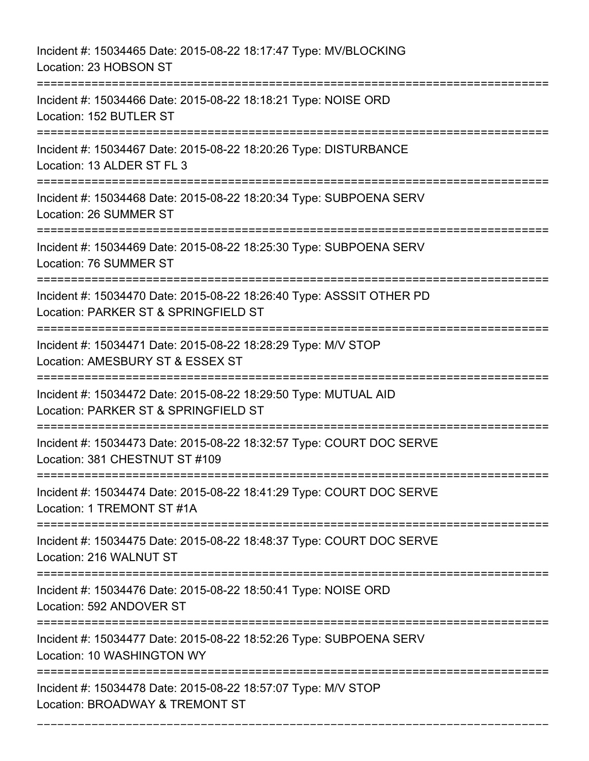Incident #: 15034465 Date: 2015-08-22 18:17:47 Type: MV/BLOCKING Location: 23 HOBSON ST =========================================================================== Incident #: 15034466 Date: 2015-08-22 18:18:21 Type: NOISE ORD Location: 152 BUTLER ST =========================================================================== Incident #: 15034467 Date: 2015-08-22 18:20:26 Type: DISTURBANCE Location: 13 ALDER ST FL 3 =========================================================================== Incident #: 15034468 Date: 2015-08-22 18:20:34 Type: SUBPOENA SERV Location: 26 SUMMER ST =========================================================================== Incident #: 15034469 Date: 2015-08-22 18:25:30 Type: SUBPOENA SERV Location: 76 SUMMER ST =========================================================================== Incident #: 15034470 Date: 2015-08-22 18:26:40 Type: ASSSIT OTHER PD Location: PARKER ST & SPRINGFIELD ST =========================================================================== Incident #: 15034471 Date: 2015-08-22 18:28:29 Type: M/V STOP Location: AMESBURY ST & ESSEX ST =========================================================================== Incident #: 15034472 Date: 2015-08-22 18:29:50 Type: MUTUAL AID Location: PARKER ST & SPRINGFIELD ST =========================================================================== Incident #: 15034473 Date: 2015-08-22 18:32:57 Type: COURT DOC SERVE Location: 381 CHESTNUT ST #109 =========================================================================== Incident #: 15034474 Date: 2015-08-22 18:41:29 Type: COURT DOC SERVE Location: 1 TREMONT ST #1A =========================================================================== Incident #: 15034475 Date: 2015-08-22 18:48:37 Type: COURT DOC SERVE Location: 216 WALNUT ST =========================================================================== Incident #: 15034476 Date: 2015-08-22 18:50:41 Type: NOISE ORD Location: 592 ANDOVER ST =========================================================================== Incident #: 15034477 Date: 2015-08-22 18:52:26 Type: SUBPOENA SERV Location: 10 WASHINGTON WY =========================================================================== Incident #: 15034478 Date: 2015-08-22 18:57:07 Type: M/V STOP Location: BROADWAY & TREMONT ST

===========================================================================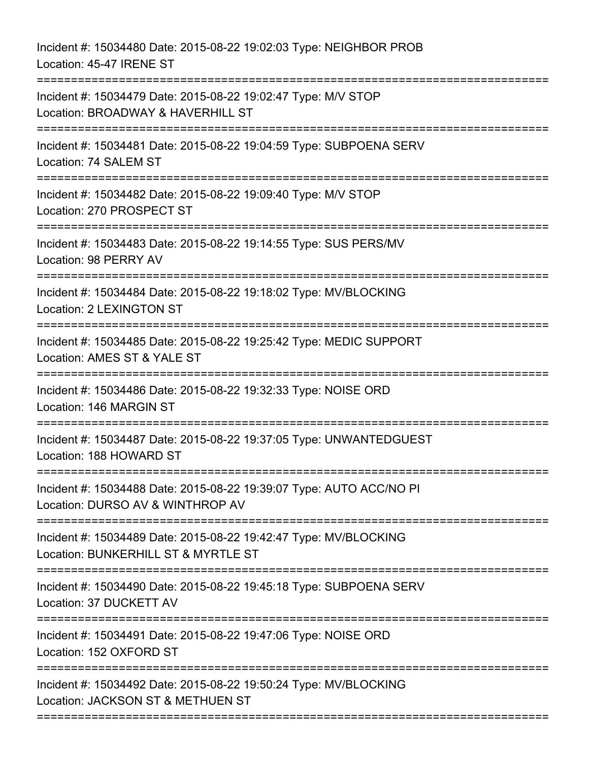Incident #: 15034480 Date: 2015-08-22 19:02:03 Type: NEIGHBOR PROB Location: 45-47 IRENE ST =========================================================================== Incident #: 15034479 Date: 2015-08-22 19:02:47 Type: M/V STOP Location: BROADWAY & HAVERHILL ST =========================================================================== Incident #: 15034481 Date: 2015-08-22 19:04:59 Type: SUBPOENA SERV Location: 74 SALEM ST =========================================================================== Incident #: 15034482 Date: 2015-08-22 19:09:40 Type: M/V STOP Location: 270 PROSPECT ST =========================================================================== Incident #: 15034483 Date: 2015-08-22 19:14:55 Type: SUS PERS/MV Location: 98 PERRY AV =========================================================================== Incident #: 15034484 Date: 2015-08-22 19:18:02 Type: MV/BLOCKING Location: 2 LEXINGTON ST =========================================================================== Incident #: 15034485 Date: 2015-08-22 19:25:42 Type: MEDIC SUPPORT Location: AMES ST & YALE ST =========================================================================== Incident #: 15034486 Date: 2015-08-22 19:32:33 Type: NOISE ORD Location: 146 MARGIN ST =========================================================================== Incident #: 15034487 Date: 2015-08-22 19:37:05 Type: UNWANTEDGUEST Location: 188 HOWARD ST =========================================================================== Incident #: 15034488 Date: 2015-08-22 19:39:07 Type: AUTO ACC/NO PI Location: DURSO AV & WINTHROP AV =========================================================================== Incident #: 15034489 Date: 2015-08-22 19:42:47 Type: MV/BLOCKING Location: BUNKERHILL ST & MYRTLE ST =========================================================================== Incident #: 15034490 Date: 2015-08-22 19:45:18 Type: SUBPOENA SERV Location: 37 DUCKETT AV =========================================================================== Incident #: 15034491 Date: 2015-08-22 19:47:06 Type: NOISE ORD Location: 152 OXFORD ST =========================================================================== Incident #: 15034492 Date: 2015-08-22 19:50:24 Type: MV/BLOCKING Location: JACKSON ST & METHUEN ST ===========================================================================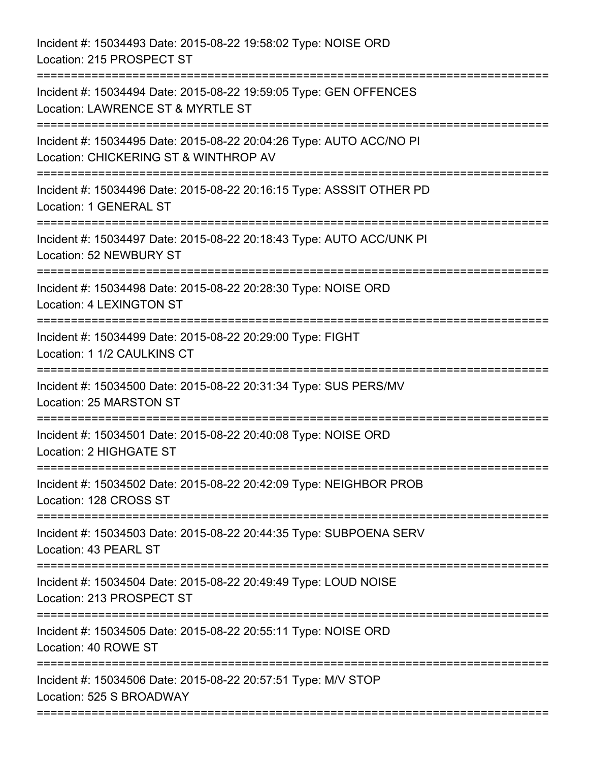Incident #: 15034493 Date: 2015-08-22 19:58:02 Type: NOISE ORD Location: 215 PROSPECT ST =========================================================================== Incident #: 15034494 Date: 2015-08-22 19:59:05 Type: GEN OFFENCES Location: LAWRENCE ST & MYRTLE ST =========================================================================== Incident #: 15034495 Date: 2015-08-22 20:04:26 Type: AUTO ACC/NO PI Location: CHICKERING ST & WINTHROP AV =========================================================================== Incident #: 15034496 Date: 2015-08-22 20:16:15 Type: ASSSIT OTHER PD Location: 1 GENERAL ST =========================================================================== Incident #: 15034497 Date: 2015-08-22 20:18:43 Type: AUTO ACC/UNK PI Location: 52 NEWBURY ST =========================================================================== Incident #: 15034498 Date: 2015-08-22 20:28:30 Type: NOISE ORD Location: 4 LEXINGTON ST =========================================================================== Incident #: 15034499 Date: 2015-08-22 20:29:00 Type: FIGHT Location: 1 1/2 CAULKINS CT =========================================================================== Incident #: 15034500 Date: 2015-08-22 20:31:34 Type: SUS PERS/MV Location: 25 MARSTON ST =========================================================================== Incident #: 15034501 Date: 2015-08-22 20:40:08 Type: NOISE ORD Location: 2 HIGHGATE ST =========================================================================== Incident #: 15034502 Date: 2015-08-22 20:42:09 Type: NEIGHBOR PROB Location: 128 CROSS ST =========================================================================== Incident #: 15034503 Date: 2015-08-22 20:44:35 Type: SUBPOENA SERV Location: 43 PEARL ST =========================================================================== Incident #: 15034504 Date: 2015-08-22 20:49:49 Type: LOUD NOISE Location: 213 PROSPECT ST =========================================================================== Incident #: 15034505 Date: 2015-08-22 20:55:11 Type: NOISE ORD Location: 40 ROWE ST =========================================================================== Incident #: 15034506 Date: 2015-08-22 20:57:51 Type: M/V STOP Location: 525 S BROADWAY ===========================================================================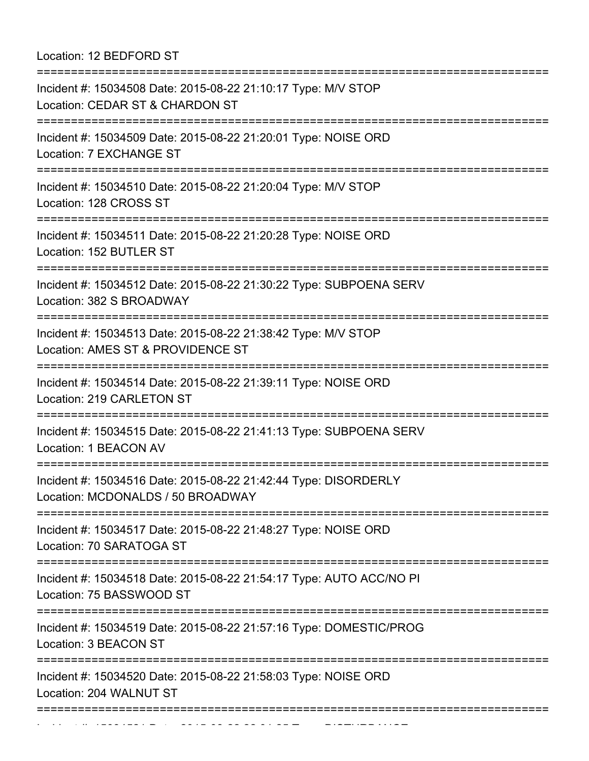Location: 12 BEDFORD ST

| Incident #: 15034508 Date: 2015-08-22 21:10:17 Type: M/V STOP<br>Location: CEDAR ST & CHARDON ST                                  |  |
|-----------------------------------------------------------------------------------------------------------------------------------|--|
| Incident #: 15034509 Date: 2015-08-22 21:20:01 Type: NOISE ORD<br>Location: 7 EXCHANGE ST<br>:=================================== |  |
| Incident #: 15034510 Date: 2015-08-22 21:20:04 Type: M/V STOP<br>Location: 128 CROSS ST<br>:===========================           |  |
| Incident #: 15034511 Date: 2015-08-22 21:20:28 Type: NOISE ORD<br>Location: 152 BUTLER ST                                         |  |
| Incident #: 15034512 Date: 2015-08-22 21:30:22 Type: SUBPOENA SERV<br>Location: 382 S BROADWAY                                    |  |
| Incident #: 15034513 Date: 2015-08-22 21:38:42 Type: M/V STOP<br>Location: AMES ST & PROVIDENCE ST<br>:========================== |  |
| Incident #: 15034514 Date: 2015-08-22 21:39:11 Type: NOISE ORD<br>Location: 219 CARLETON ST                                       |  |
| Incident #: 15034515 Date: 2015-08-22 21:41:13 Type: SUBPOENA SERV<br>Location: 1 BEACON AV                                       |  |
| Incident #: 15034516 Date: 2015-08-22 21:42:44 Type: DISORDERLY<br>Location: MCDONALDS / 50 BROADWAY                              |  |
| Incident #: 15034517 Date: 2015-08-22 21:48:27 Type: NOISE ORD<br>Location: 70 SARATOGA ST                                        |  |
| Incident #: 15034518 Date: 2015-08-22 21:54:17 Type: AUTO ACC/NO PI<br>Location: 75 BASSWOOD ST                                   |  |
| Incident #: 15034519 Date: 2015-08-22 21:57:16 Type: DOMESTIC/PROG<br>Location: 3 BEACON ST                                       |  |
| Incident #: 15034520 Date: 2015-08-22 21:58:03 Type: NOISE ORD<br>Location: 204 WALNUT ST                                         |  |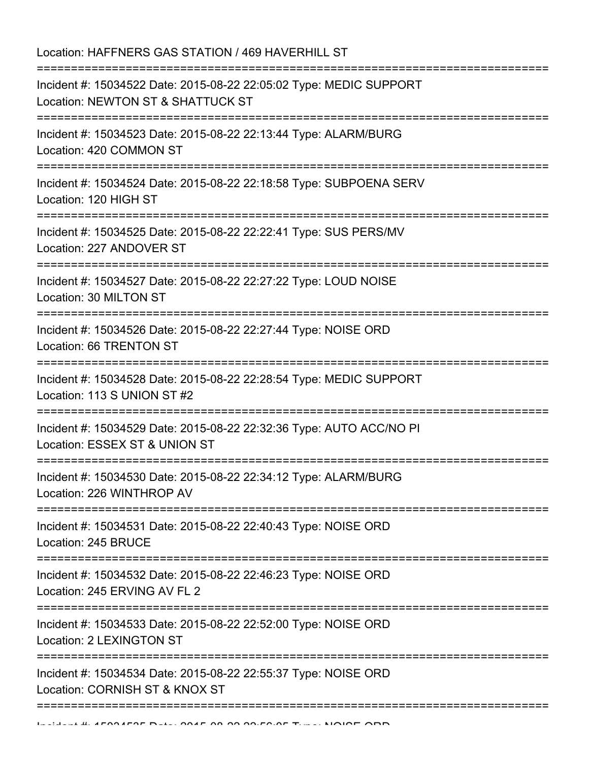| Location: HAFFNERS GAS STATION / 469 HAVERHILL ST<br>==================================                 |
|---------------------------------------------------------------------------------------------------------|
| Incident #: 15034522 Date: 2015-08-22 22:05:02 Type: MEDIC SUPPORT<br>Location: NEWTON ST & SHATTUCK ST |
| Incident #: 15034523 Date: 2015-08-22 22:13:44 Type: ALARM/BURG<br>Location: 420 COMMON ST              |
| Incident #: 15034524 Date: 2015-08-22 22:18:58 Type: SUBPOENA SERV<br>Location: 120 HIGH ST             |
| Incident #: 15034525 Date: 2015-08-22 22:22:41 Type: SUS PERS/MV<br>Location: 227 ANDOVER ST            |
| Incident #: 15034527 Date: 2015-08-22 22:27:22 Type: LOUD NOISE<br>Location: 30 MILTON ST               |
| Incident #: 15034526 Date: 2015-08-22 22:27:44 Type: NOISE ORD<br>Location: 66 TRENTON ST               |
| Incident #: 15034528 Date: 2015-08-22 22:28:54 Type: MEDIC SUPPORT<br>Location: 113 S UNION ST #2       |
| Incident #: 15034529 Date: 2015-08-22 22:32:36 Type: AUTO ACC/NO PI<br>Location: ESSEX ST & UNION ST    |
| Incident #: 15034530 Date: 2015-08-22 22:34:12 Type: ALARM/BURG<br>Location: 226 WINTHROP AV            |
| Incident #: 15034531 Date: 2015-08-22 22:40:43 Type: NOISE ORD<br>Location: 245 BRUCE                   |
| Incident #: 15034532 Date: 2015-08-22 22:46:23 Type: NOISE ORD<br>Location: 245 ERVING AV FL 2          |
| Incident #: 15034533 Date: 2015-08-22 22:52:00 Type: NOISE ORD<br>Location: 2 LEXINGTON ST              |
| Incident #: 15034534 Date: 2015-08-22 22:55:37 Type: NOISE ORD<br>Location: CORNISH ST & KNOX ST        |
|                                                                                                         |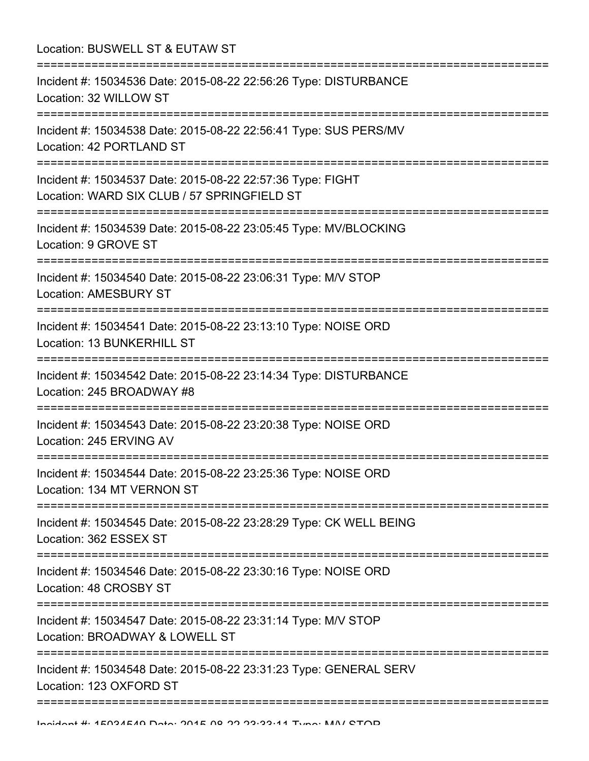| Location: BUSWELL ST & EUTAW ST                                                                                                       |
|---------------------------------------------------------------------------------------------------------------------------------------|
| Incident #: 15034536 Date: 2015-08-22 22:56:26 Type: DISTURBANCE<br>Location: 32 WILLOW ST<br>==================================      |
| Incident #: 15034538 Date: 2015-08-22 22:56:41 Type: SUS PERS/MV<br>Location: 42 PORTLAND ST                                          |
| Incident #: 15034537 Date: 2015-08-22 22:57:36 Type: FIGHT<br>Location: WARD SIX CLUB / 57 SPRINGFIELD ST<br>:======================= |
| Incident #: 15034539 Date: 2015-08-22 23:05:45 Type: MV/BLOCKING<br>Location: 9 GROVE ST                                              |
| Incident #: 15034540 Date: 2015-08-22 23:06:31 Type: M/V STOP<br><b>Location: AMESBURY ST</b><br>=============================        |
| Incident #: 15034541 Date: 2015-08-22 23:13:10 Type: NOISE ORD<br>Location: 13 BUNKERHILL ST                                          |
| Incident #: 15034542 Date: 2015-08-22 23:14:34 Type: DISTURBANCE<br>Location: 245 BROADWAY #8                                         |
| ;=====================================<br>Incident #: 15034543 Date: 2015-08-22 23:20:38 Type: NOISE ORD<br>Location: 245 ERVING AV   |
| Incident #: 15034544 Date: 2015-08-22 23:25:36 Type: NOISE ORD<br>Location: 134 MT VERNON ST                                          |
| Incident #: 15034545 Date: 2015-08-22 23:28:29 Type: CK WELL BEING<br>Location: 362 ESSEX ST                                          |
| Incident #: 15034546 Date: 2015-08-22 23:30:16 Type: NOISE ORD<br>Location: 48 CROSBY ST                                              |
| Incident #: 15034547 Date: 2015-08-22 23:31:14 Type: M/V STOP<br>Location: BROADWAY & LOWELL ST                                       |
| Incident #: 15034548 Date: 2015-08-22 23:31:23 Type: GENERAL SERV<br>Location: 123 OXFORD ST                                          |
|                                                                                                                                       |